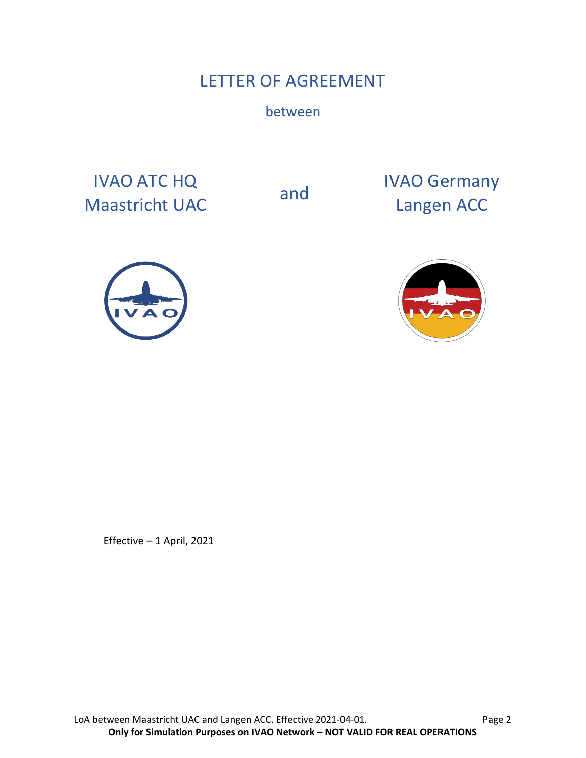# LETTER OF AGREEMENT

between

IVAO ATC HQ IVAO ATC HQ<br>
Maastricht UAC and IVAO Germany<br>
Langen ACC

Langen ACC





Effective – 1 April, 2021

LoA between Maastricht UAC and Langen ACC. Effective 2021-04-01. Page 2 **Only for Simulation Purposes on IVAO Network – NOT VALID FOR REAL OPERATIONS**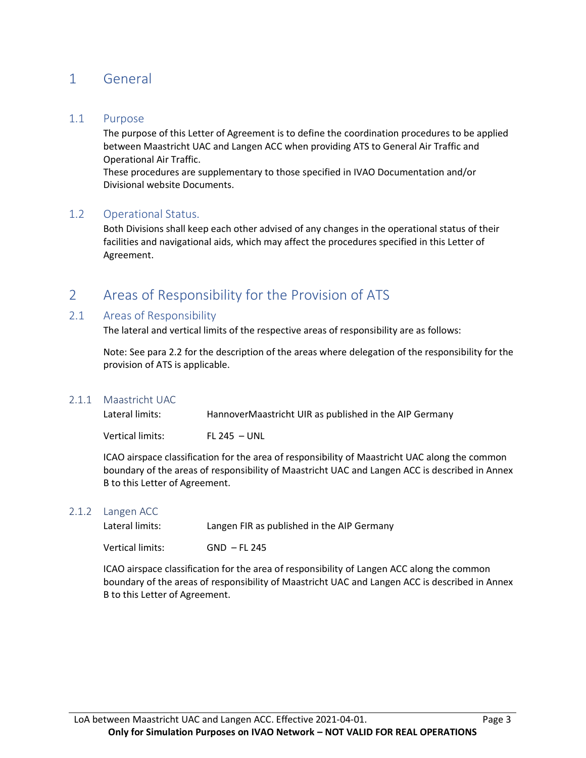# 1 General

#### 1.1 Purpose

The purpose of this Letter of Agreement is to define the coordination procedures to be applied between Maastricht UAC and Langen ACC when providing ATS to General Air Traffic and Operational Air Traffic.

These procedures are supplementary to those specified in IVAO Documentation and/or Divisional website Documents.

#### 1.2 Operational Status.

Both Divisions shall keep each other advised of any changes in the operational status of their facilities and navigational aids, which may affect the procedures specified in this Letter of Agreement.

# 2 Areas of Responsibility for the Provision of ATS

#### 2.1 Areas of Responsibility

The lateral and vertical limits of the respective areas of responsibility are as follows:

Note: See para 2.2 for the description of the areas where delegation of the responsibility for the provision of ATS is applicable.

#### 2.1.1 Maastricht UAC

| Lateral limits: | HannoverMaastricht UIR as published in the AIP Germany |
|-----------------|--------------------------------------------------------|
|                 |                                                        |

Vertical limits: FL 245 – UNL

ICAO airspace classification for the area of responsibility of Maastricht UAC along the common boundary of the areas of responsibility of Maastricht UAC and Langen ACC is described in Annex B to this Letter of Agreement.

#### 2.1.2 Langen ACC

| Lateral limits: | Langen FIR as published in the AIP Germany |
|-----------------|--------------------------------------------|
|                 |                                            |

Vertical limits: GND – FL 245

ICAO airspace classification for the area of responsibility of Langen ACC along the common boundary of the areas of responsibility of Maastricht UAC and Langen ACC is described in Annex B to this Letter of Agreement.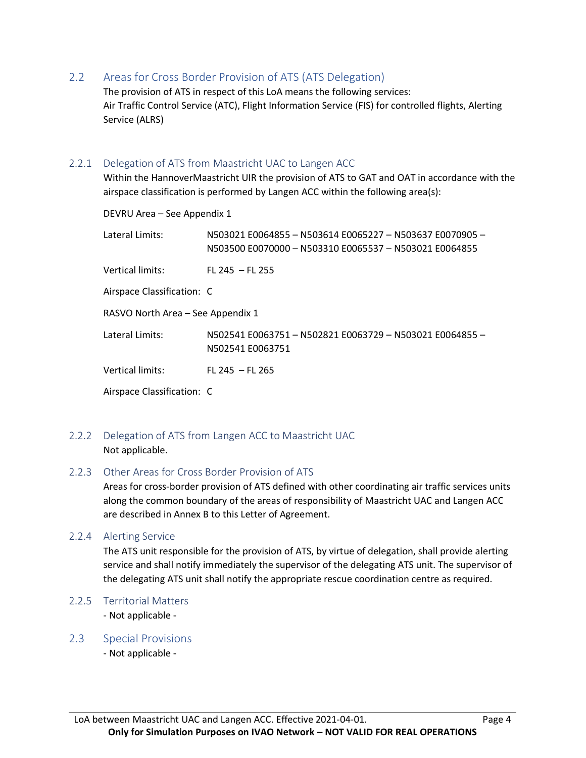2.2 Areas for Cross Border Provision of ATS (ATS Delegation)

The provision of ATS in respect of this LoA means the following services: Air Traffic Control Service (ATC), Flight Information Service (FIS) for controlled flights, Alerting Service (ALRS)

#### 2.2.1 Delegation of ATS from Maastricht UAC to Langen ACC

Within the HannoverMaastricht UIR the provision of ATS to GAT and OAT in accordance with the airspace classification is performed by Langen ACC within the following area(s):

DEVRU Area – See Appendix 1 Lateral Limits: N503021 E0064855 – N503614 E0065227 – N503637 E0070905 – N503500 E0070000 – N503310 E0065537 – N503021 E0064855 Vertical limits: FL 245 – FL 255 Airspace Classification: C RASVO North Area – See Appendix 1 Lateral Limits: N502541 E0063751 – N502821 E0063729 – N503021 E0064855 – N502541 E0063751 Vertical limits: FL 245 – FL 265 Airspace Classification: C

### 2.2.2 Delegation of ATS from Langen ACC to Maastricht UAC Not applicable.

#### 2.2.3 Other Areas for Cross Border Provision of ATS

Areas for cross-border provision of ATS defined with other coordinating air traffic services units along the common boundary of the areas of responsibility of Maastricht UAC and Langen ACC are described in Annex B to this Letter of Agreement.

#### 2.2.4 Alerting Service

The ATS unit responsible for the provision of ATS, by virtue of delegation, shall provide alerting service and shall notify immediately the supervisor of the delegating ATS unit. The supervisor of the delegating ATS unit shall notify the appropriate rescue coordination centre as required.

#### 2.2.5 Territorial Matters

- Not applicable -

#### 2.3 Special Provisions

- Not applicable -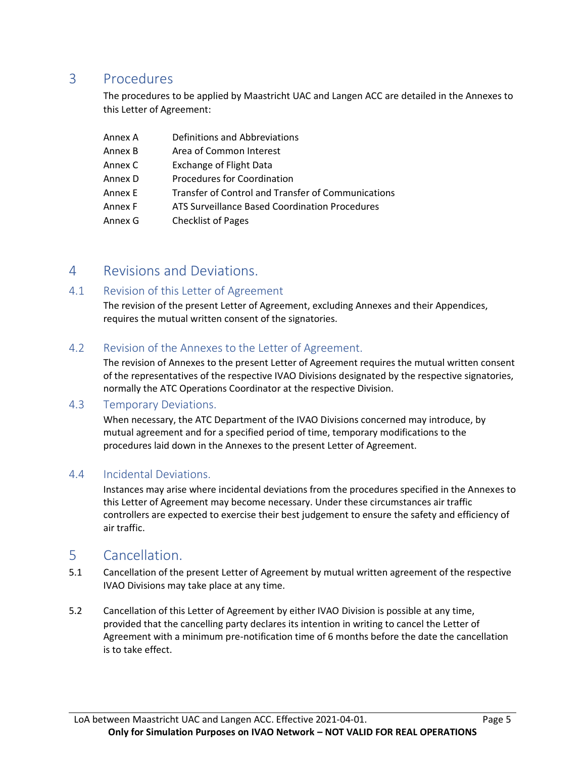# 3 Procedures

The procedures to be applied by Maastricht UAC and Langen ACC are detailed in the Annexes to this Letter of Agreement:

| Annex A | Definitions and Abbreviations                      |
|---------|----------------------------------------------------|
| Annex B | Area of Common Interest                            |
| Annex C | <b>Exchange of Flight Data</b>                     |
| Annex D | Procedures for Coordination                        |
| Annex E | Transfer of Control and Transfer of Communications |
| Annex F | ATS Surveillance Based Coordination Procedures     |
| Annex G | <b>Checklist of Pages</b>                          |

## 4 Revisions and Deviations.

### 4.1 Revision of this Letter of Agreement

The revision of the present Letter of Agreement, excluding Annexes and their Appendices, requires the mutual written consent of the signatories.

### 4.2 Revision of the Annexes to the Letter of Agreement.

The revision of Annexes to the present Letter of Agreement requires the mutual written consent of the representatives of the respective IVAO Divisions designated by the respective signatories, normally the ATC Operations Coordinator at the respective Division.

### 4.3 Temporary Deviations.

When necessary, the ATC Department of the IVAO Divisions concerned may introduce, by mutual agreement and for a specified period of time, temporary modifications to the procedures laid down in the Annexes to the present Letter of Agreement.

### 4.4 Incidental Deviations.

Instances may arise where incidental deviations from the procedures specified in the Annexes to this Letter of Agreement may become necessary. Under these circumstances air traffic controllers are expected to exercise their best judgement to ensure the safety and efficiency of air traffic.

### 5 Cancellation.

- 5.1 Cancellation of the present Letter of Agreement by mutual written agreement of the respective IVAO Divisions may take place at any time.
- 5.2 Cancellation of this Letter of Agreement by either IVAO Division is possible at any time, provided that the cancelling party declares its intention in writing to cancel the Letter of Agreement with a minimum pre-notification time of 6 months before the date the cancellation is to take effect.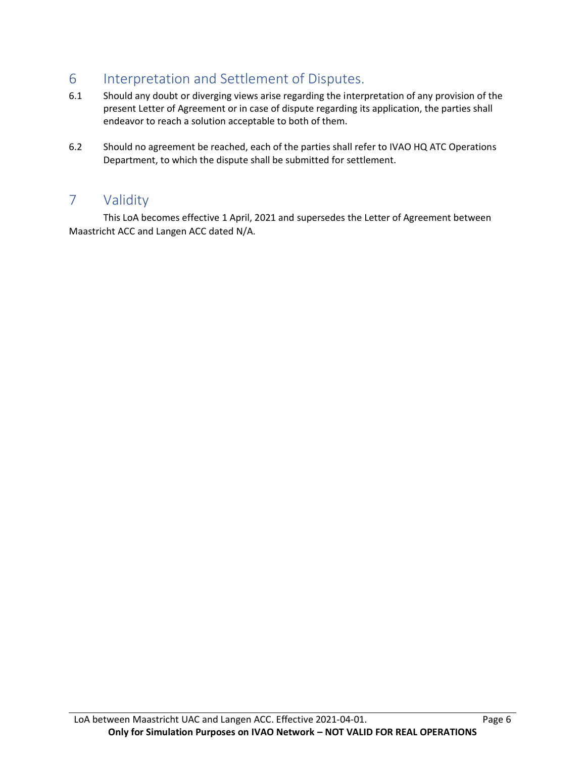# 6 Interpretation and Settlement of Disputes.

- 6.1 Should any doubt or diverging views arise regarding the interpretation of any provision of the present Letter of Agreement or in case of dispute regarding its application, the parties shall endeavor to reach a solution acceptable to both of them.
- 6.2 Should no agreement be reached, each of the parties shall refer to IVAO HQ ATC Operations Department, to which the dispute shall be submitted for settlement.

# 7 Validity

This LoA becomes effective 1 April, 2021 and supersedes the Letter of Agreement between Maastricht ACC and Langen ACC dated N/A.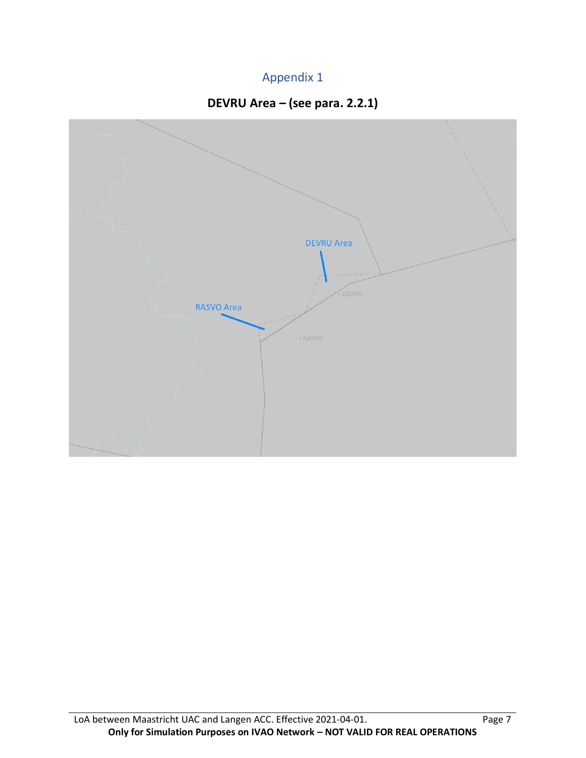# Appendix 1



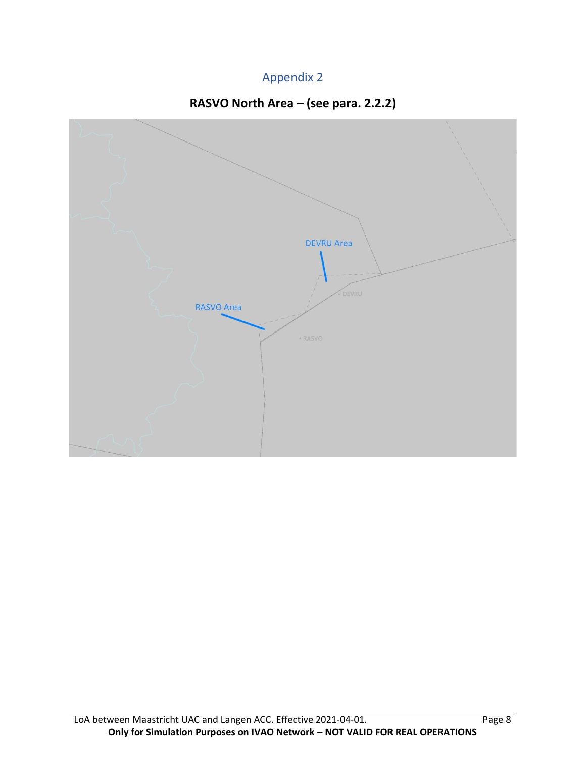# Appendix 2



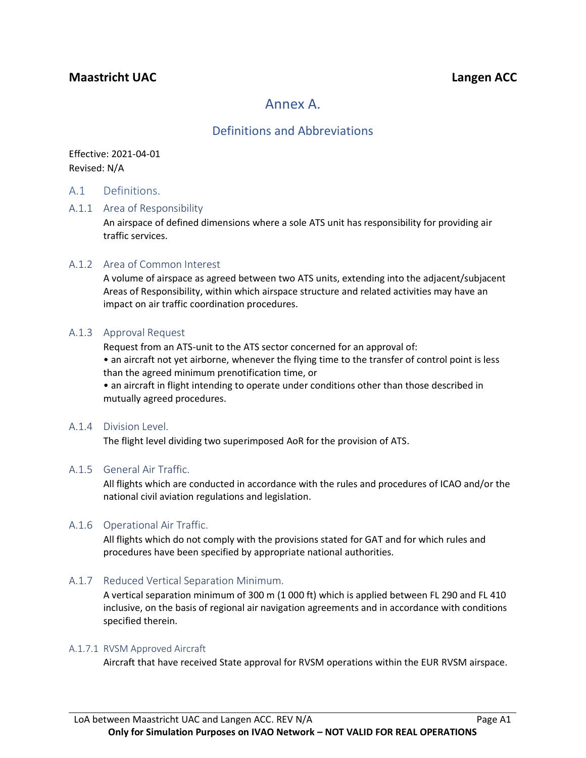## **Maastricht UAC Langen ACC**

# Annex A.

### Definitions and Abbreviations

Effective: 2021-04-01 Revised: N/A

#### A.1 Definitions.

#### A.1.1 Area of Responsibility

An airspace of defined dimensions where a sole ATS unit has responsibility for providing air traffic services.

#### A.1.2 Area of Common Interest

A volume of airspace as agreed between two ATS units, extending into the adjacent/subjacent Areas of Responsibility, within which airspace structure and related activities may have an impact on air traffic coordination procedures.

#### A.1.3 Approval Request

Request from an ATS-unit to the ATS sector concerned for an approval of:

• an aircraft not yet airborne, whenever the flying time to the transfer of control point is less than the agreed minimum prenotification time, or

• an aircraft in flight intending to operate under conditions other than those described in mutually agreed procedures.

#### A.1.4 Division Level.

The flight level dividing two superimposed AoR for the provision of ATS.

#### A.1.5 General Air Traffic.

All flights which are conducted in accordance with the rules and procedures of ICAO and/or the national civil aviation regulations and legislation.

#### A.1.6 Operational Air Traffic.

All flights which do not comply with the provisions stated for GAT and for which rules and procedures have been specified by appropriate national authorities.

#### A.1.7 Reduced Vertical Separation Minimum.

A vertical separation minimum of 300 m (1 000 ft) which is applied between FL 290 and FL 410 inclusive, on the basis of regional air navigation agreements and in accordance with conditions specified therein.

#### A.1.7.1 RVSM Approved Aircraft

Aircraft that have received State approval for RVSM operations within the EUR RVSM airspace.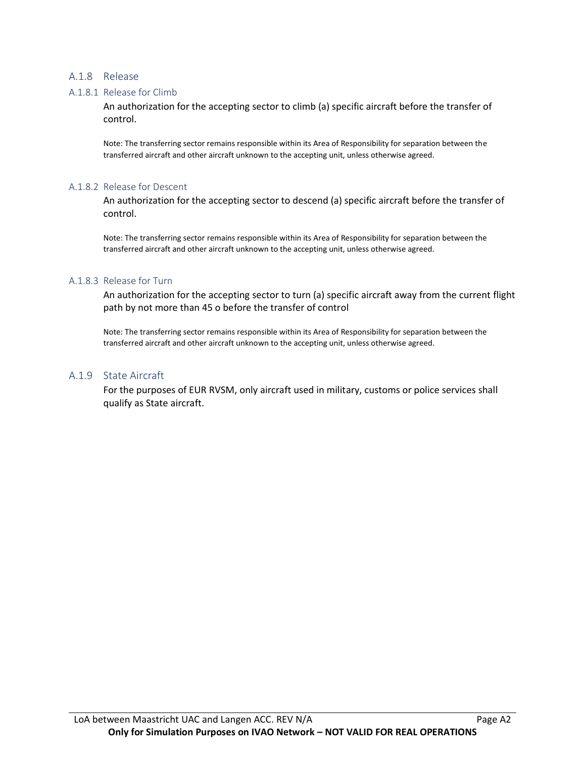#### A.1.8 Release

#### A.1.8.1 Release for Climb

An authorization for the accepting sector to climb (a) specific aircraft before the transfer of control.

Note: The transferring sector remains responsible within its Area of Responsibility for separation between the transferred aircraft and other aircraft unknown to the accepting unit, unless otherwise agreed.

#### A.1.8.2 Release for Descent

An authorization for the accepting sector to descend (a) specific aircraft before the transfer of control.

Note: The transferring sector remains responsible within its Area of Responsibility for separation between the transferred aircraft and other aircraft unknown to the accepting unit, unless otherwise agreed.

#### A.1.8.3 Release for Turn

An authorization for the accepting sector to turn (a) specific aircraft away from the current flight path by not more than 45 o before the transfer of control

Note: The transferring sector remains responsible within its Area of Responsibility for separation between the transferred aircraft and other aircraft unknown to the accepting unit, unless otherwise agreed.

#### A.1.9 State Aircraft

For the purposes of EUR RVSM, only aircraft used in military, customs or police services shall qualify as State aircraft.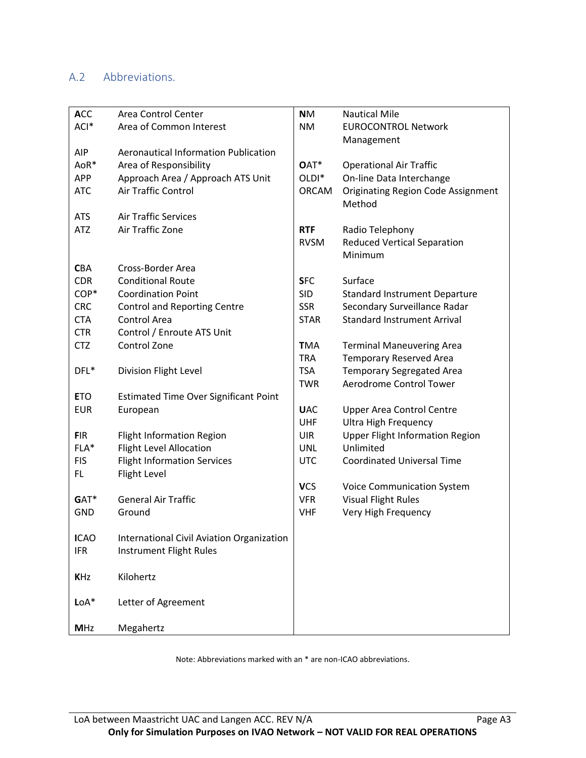# A.2 Abbreviations.

| <b>ACC</b>  | Area Control Center                          | <b>NM</b>         | <b>Nautical Mile</b>                      |
|-------------|----------------------------------------------|-------------------|-------------------------------------------|
| ACI*        | Area of Common Interest                      | <b>NM</b>         | <b>EUROCONTROL Network</b>                |
|             |                                              |                   | Management                                |
| <b>AIP</b>  | <b>Aeronautical Information Publication</b>  |                   |                                           |
| AoR*        | Area of Responsibility                       | OAT*              | <b>Operational Air Traffic</b>            |
| <b>APP</b>  | Approach Area / Approach ATS Unit            | OLDI <sup>*</sup> | On-line Data Interchange                  |
| <b>ATC</b>  | Air Traffic Control                          | <b>ORCAM</b>      | <b>Originating Region Code Assignment</b> |
|             |                                              |                   | Method                                    |
| <b>ATS</b>  | <b>Air Traffic Services</b>                  |                   |                                           |
| <b>ATZ</b>  | Air Traffic Zone                             | <b>RTF</b>        | Radio Telephony                           |
|             |                                              | <b>RVSM</b>       | <b>Reduced Vertical Separation</b>        |
|             |                                              |                   | Minimum                                   |
| <b>CBA</b>  | Cross-Border Area                            |                   |                                           |
| <b>CDR</b>  | <b>Conditional Route</b>                     | <b>SFC</b>        | Surface                                   |
| COP*        | <b>Coordination Point</b>                    | <b>SID</b>        | <b>Standard Instrument Departure</b>      |
| <b>CRC</b>  | <b>Control and Reporting Centre</b>          | <b>SSR</b>        | Secondary Surveillance Radar              |
| <b>CTA</b>  | Control Area                                 | <b>STAR</b>       | <b>Standard Instrument Arrival</b>        |
| <b>CTR</b>  | Control / Enroute ATS Unit                   |                   |                                           |
| <b>CTZ</b>  | Control Zone                                 | <b>TMA</b>        | <b>Terminal Maneuvering Area</b>          |
|             |                                              | <b>TRA</b>        | <b>Temporary Reserved Area</b>            |
| DFL*        | Division Flight Level                        | <b>TSA</b>        | <b>Temporary Segregated Area</b>          |
|             |                                              | <b>TWR</b>        | Aerodrome Control Tower                   |
| <b>ETO</b>  | <b>Estimated Time Over Significant Point</b> |                   |                                           |
| <b>EUR</b>  | European                                     | <b>UAC</b>        | <b>Upper Area Control Centre</b>          |
|             |                                              | <b>UHF</b>        | <b>Ultra High Frequency</b>               |
| <b>FIR</b>  | <b>Flight Information Region</b>             | <b>UIR</b>        | <b>Upper Flight Information Region</b>    |
| FLA*        | <b>Flight Level Allocation</b>               | <b>UNL</b>        | Unlimited                                 |
| <b>FIS</b>  | <b>Flight Information Services</b>           | <b>UTC</b>        | <b>Coordinated Universal Time</b>         |
| FL.         | Flight Level                                 |                   |                                           |
|             |                                              | <b>VCS</b>        | <b>Voice Communication System</b>         |
| GAT*        | <b>General Air Traffic</b>                   | <b>VFR</b>        | <b>Visual Flight Rules</b>                |
| <b>GND</b>  | Ground                                       | <b>VHF</b>        | Very High Frequency                       |
|             |                                              |                   |                                           |
| <b>ICAO</b> | International Civil Aviation Organization    |                   |                                           |
| <b>IFR</b>  | Instrument Flight Rules                      |                   |                                           |
|             |                                              |                   |                                           |
| <b>KHz</b>  | Kilohertz                                    |                   |                                           |
|             |                                              |                   |                                           |
| $LoA*$      | Letter of Agreement                          |                   |                                           |
|             |                                              |                   |                                           |
| <b>MHz</b>  | Megahertz                                    |                   |                                           |

Note: Abbreviations marked with an \* are non-ICAO abbreviations.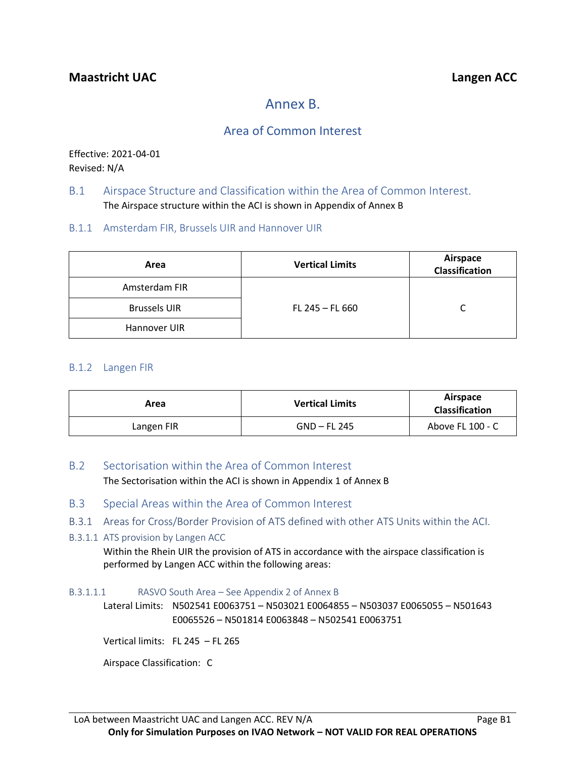# Annex B.

# Area of Common Interest

Effective: 2021-04-01 Revised: N/A

### B.1 Airspace Structure and Classification within the Area of Common Interest. The Airspace structure within the ACI is shown in Appendix of Annex B

### B.1.1 Amsterdam FIR, Brussels UIR and Hannover UIR

| Area                | <b>Vertical Limits</b> | Airspace<br><b>Classification</b> |
|---------------------|------------------------|-----------------------------------|
| Amsterdam FIR       |                        |                                   |
| <b>Brussels UIR</b> | FL 245 $-$ FL 660      | C                                 |
| Hannover UIR        |                        |                                   |

#### B.1.2 Langen FIR

| Area       | <b>Vertical Limits</b> | Airspace<br><b>Classification</b> |
|------------|------------------------|-----------------------------------|
| Langen FIR | GND – FL 245           | Above FL 100 - C                  |

#### B.2 Sectorisation within the Area of Common Interest

The Sectorisation within the ACI is shown in Appendix 1 of Annex B

- B.3 Special Areas within the Area of Common Interest
- B.3.1 Areas for Cross/Border Provision of ATS defined with other ATS Units within the ACI.

#### B.3.1.1 ATS provision by Langen ACC

Within the Rhein UIR the provision of ATS in accordance with the airspace classification is performed by Langen ACC within the following areas:

#### B.3.1.1.1 RASVO South Area – See Appendix 2 of Annex B

Lateral Limits: N502541 E0063751 – N503021 E0064855 – N503037 E0065055 – N501643 E0065526 – N501814 E0063848 – N502541 E0063751

Vertical limits: FL 245 – FL 265

Airspace Classification: C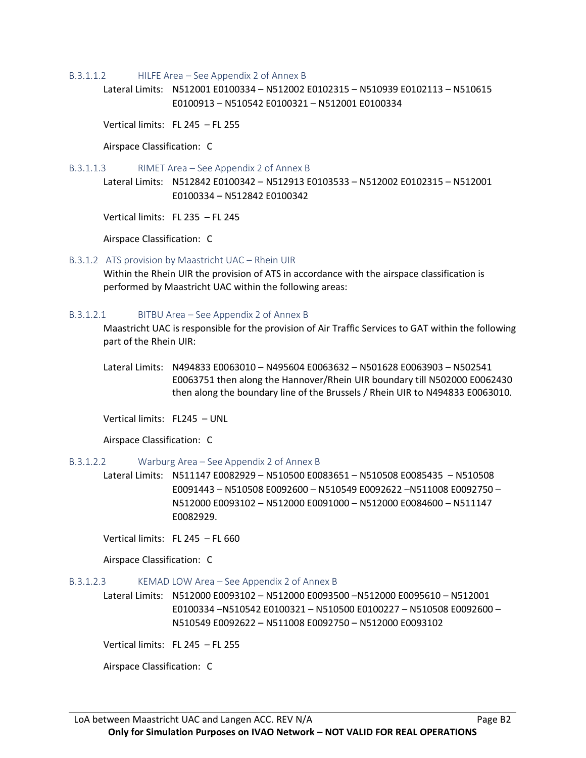#### B.3.1.1.2 HILFE Area – See Appendix 2 of Annex B

Lateral Limits: N512001 E0100334 – N512002 E0102315 – N510939 E0102113 – N510615 E0100913 – N510542 E0100321 – N512001 E0100334

Vertical limits: FL 245 – FL 255

Airspace Classification: C

B.3.1.1.3 RIMET Area – See Appendix 2 of Annex B

Lateral Limits: N512842 E0100342 – N512913 E0103533 – N512002 E0102315 – N512001 E0100334 – N512842 E0100342

Vertical limits: FL 235 – FL 245

Airspace Classification: C

#### B.3.1.2 ATS provision by Maastricht UAC – Rhein UIR

Within the Rhein UIR the provision of ATS in accordance with the airspace classification is performed by Maastricht UAC within the following areas:

#### B.3.1.2.1 BITBU Area – See Appendix 2 of Annex B

Maastricht UAC is responsible for the provision of Air Traffic Services to GAT within the following part of the Rhein UIR:

Lateral Limits: N494833 E0063010 – N495604 E0063632 – N501628 E0063903 – N502541 E0063751 then along the Hannover/Rhein UIR boundary till N502000 E0062430 then along the boundary line of the Brussels / Rhein UIR to N494833 E0063010.

Vertical limits: FL245 – UNL

Airspace Classification: C

#### B.3.1.2.2 Warburg Area – See Appendix 2 of Annex B

Lateral Limits: N511147 E0082929 – N510500 E0083651 – N510508 E0085435 – N510508 E0091443 – N510508 E0092600 – N510549 E0092622 –N511008 E0092750 – N512000 E0093102 – N512000 E0091000 – N512000 E0084600 – N511147 E0082929.

Vertical limits: FL 245 – FL 660

Airspace Classification: C

#### B.3.1.2.3 KEMAD LOW Area – See Appendix 2 of Annex B

Lateral Limits: N512000 E0093102 – N512000 E0093500 –N512000 E0095610 – N512001 E0100334 –N510542 E0100321 – N510500 E0100227 – N510508 E0092600 – N510549 E0092622 – N511008 E0092750 – N512000 E0093102

Vertical limits: FL 245 – FL 255

Airspace Classification: C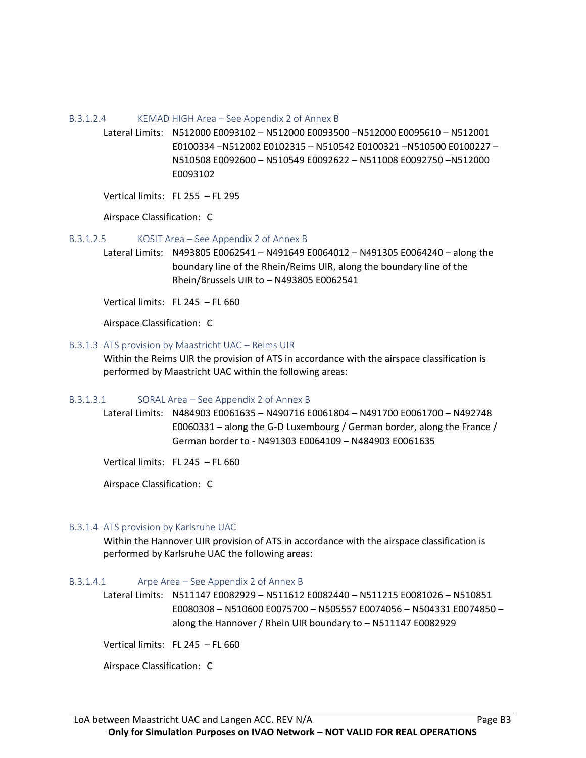B.3.1.2.4 KEMAD HIGH Area – See Appendix 2 of Annex B

Lateral Limits: N512000 E0093102 – N512000 E0093500 –N512000 E0095610 – N512001 E0100334 –N512002 E0102315 – N510542 E0100321 –N510500 E0100227 – N510508 E0092600 – N510549 E0092622 – N511008 E0092750 –N512000 E0093102

Vertical limits: FL 255 – FL 295

Airspace Classification: C

B.3.1.2.5 KOSIT Area – See Appendix 2 of Annex B

Lateral Limits: N493805 E0062541 – N491649 E0064012 – N491305 E0064240 – along the boundary line of the Rhein/Reims UIR, along the boundary line of the Rhein/Brussels UIR to – N493805 E0062541

Vertical limits: FL 245 – FL 660

Airspace Classification: C

#### B.3.1.3 ATS provision by Maastricht UAC – Reims UIR

Within the Reims UIR the provision of ATS in accordance with the airspace classification is performed by Maastricht UAC within the following areas:

#### B.3.1.3.1 SORAL Area – See Appendix 2 of Annex B

Lateral Limits: N484903 E0061635 – N490716 E0061804 – N491700 E0061700 – N492748 E0060331 – along the G-D Luxembourg / German border, along the France / German border to - N491303 E0064109 – N484903 E0061635

Vertical limits: FL 245 – FL 660

Airspace Classification: C

#### B.3.1.4 ATS provision by Karlsruhe UAC

Within the Hannover UIR provision of ATS in accordance with the airspace classification is performed by Karlsruhe UAC the following areas:

#### B.3.1.4.1 Arpe Area – See Appendix 2 of Annex B

Lateral Limits: N511147 E0082929 – N511612 E0082440 – N511215 E0081026 – N510851 E0080308 – N510600 E0075700 – N505557 E0074056 – N504331 E0074850 – along the Hannover / Rhein UIR boundary to – N511147 E0082929

Vertical limits: FL 245 – FL 660

Airspace Classification: C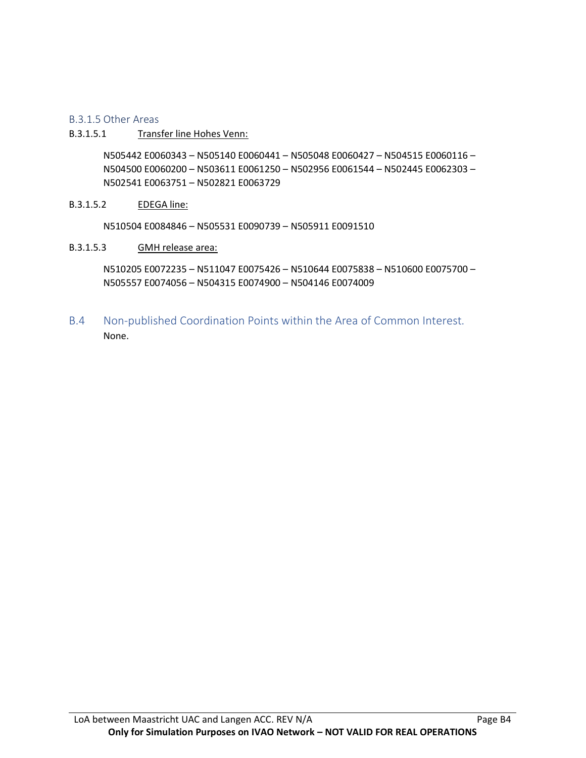#### B.3.1.5 Other Areas

#### B.3.1.5.1 Transfer line Hohes Venn:

N505442 E0060343 – N505140 E0060441 – N505048 E0060427 – N504515 E0060116 – N504500 E0060200 – N503611 E0061250 – N502956 E0061544 – N502445 E0062303 – N502541 E0063751 – N502821 E0063729

#### B.3.1.5.2 EDEGA line:

N510504 E0084846 – N505531 E0090739 – N505911 E0091510

B.3.1.5.3 GMH release area:

N510205 E0072235 – N511047 E0075426 – N510644 E0075838 – N510600 E0075700 – N505557 E0074056 – N504315 E0074900 – N504146 E0074009

B.4 Non-published Coordination Points within the Area of Common Interest. None.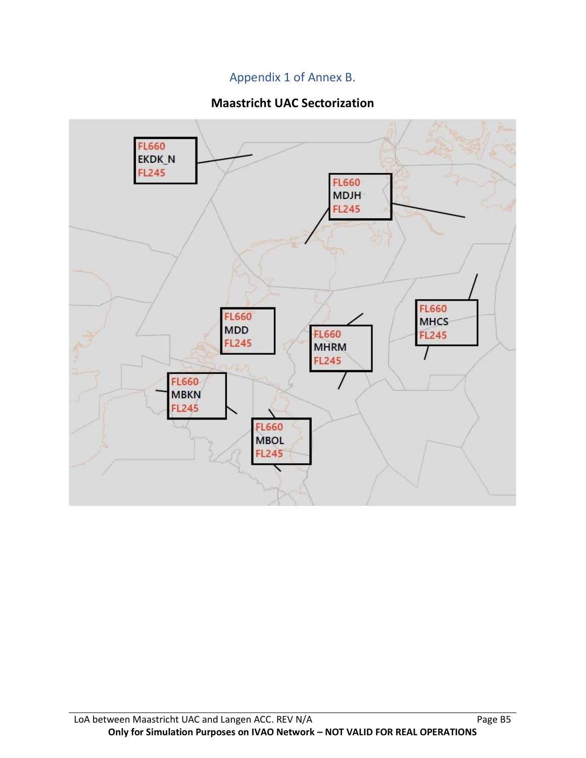# Appendix 1 of Annex B.

# **Maastricht UAC Sectorization**

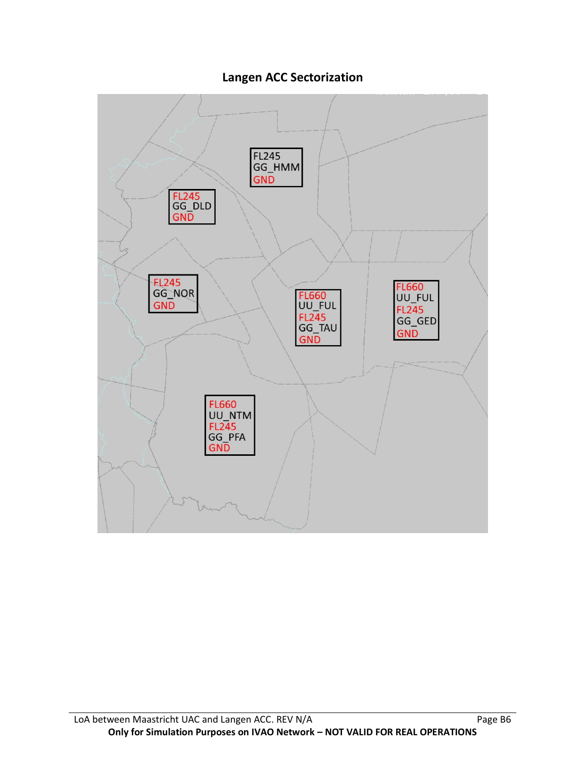# **Langen ACC Sectorization**

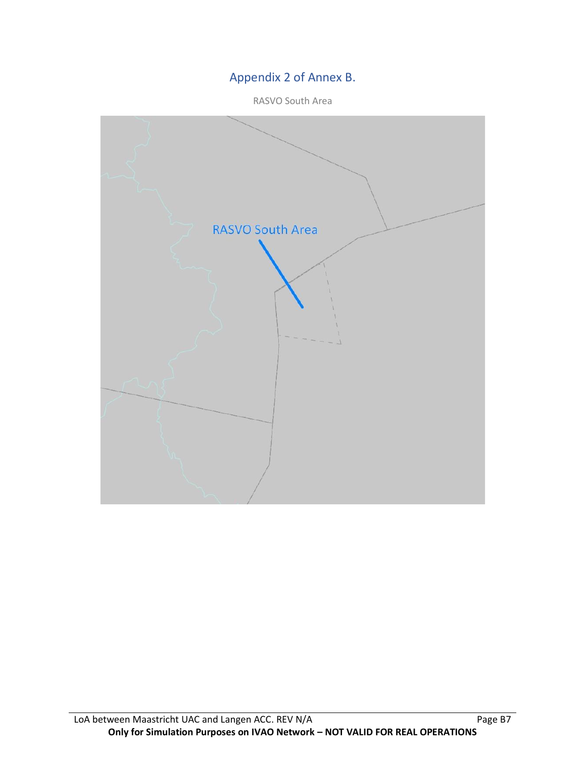# Appendix 2 of Annex B.

RASVO South Area

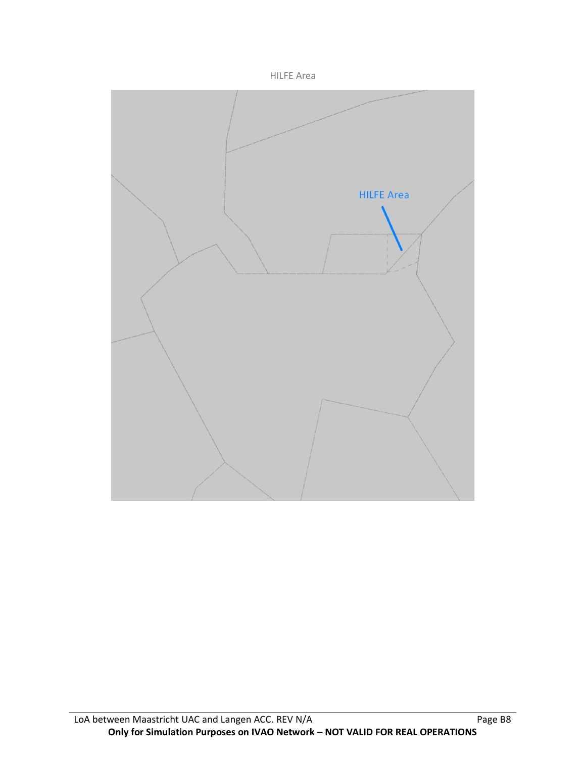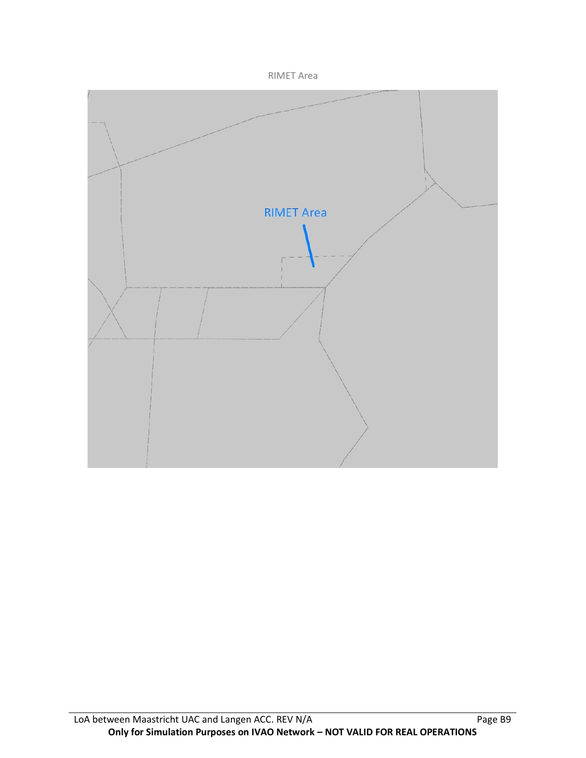

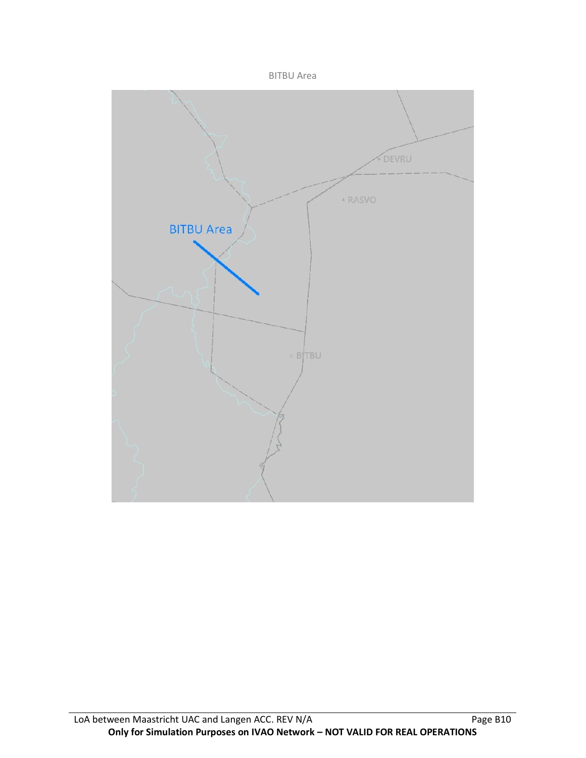

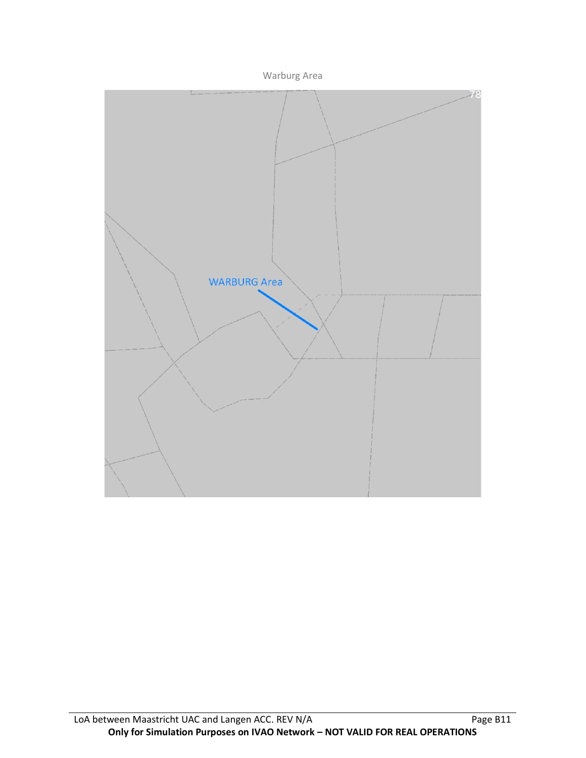

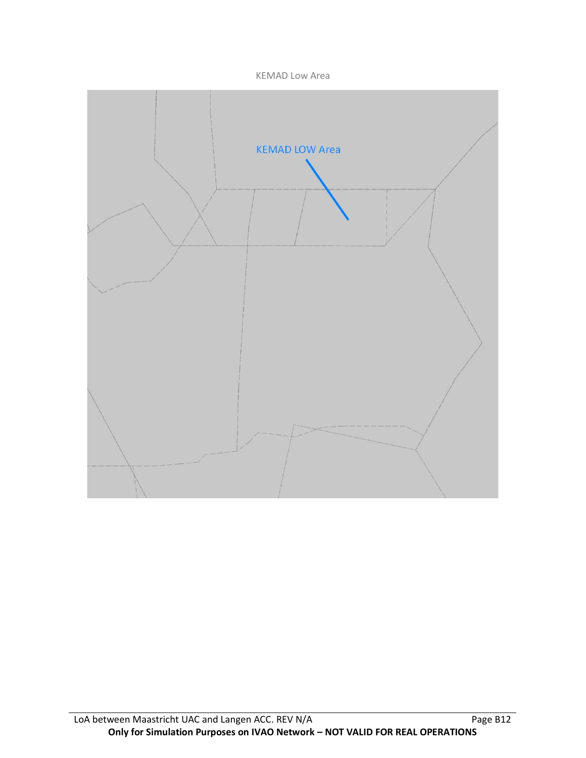KEMAD Low Area

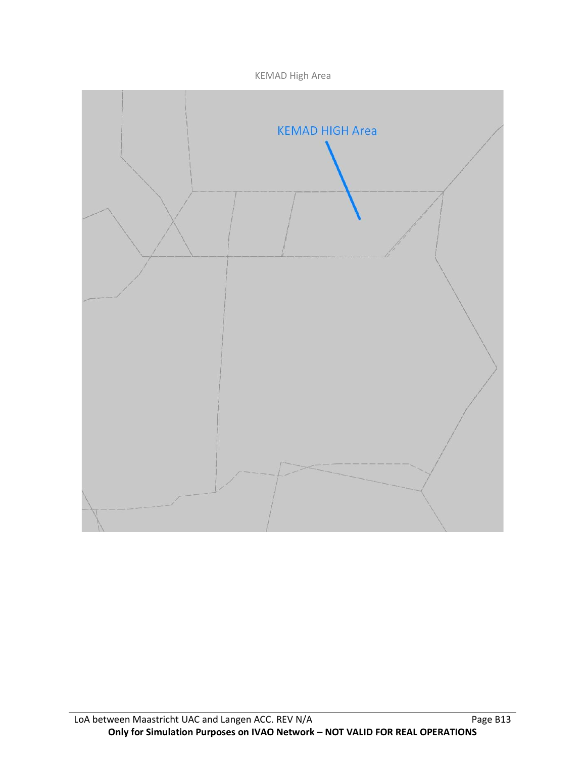KEMAD High Area

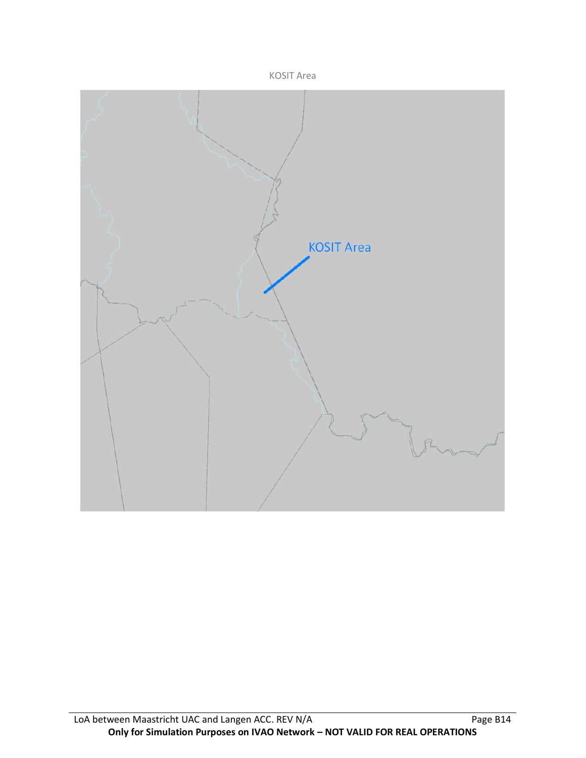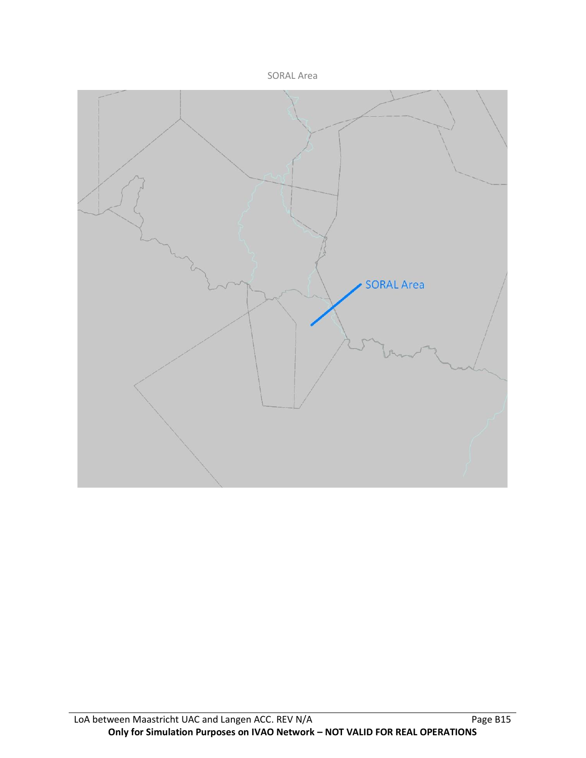

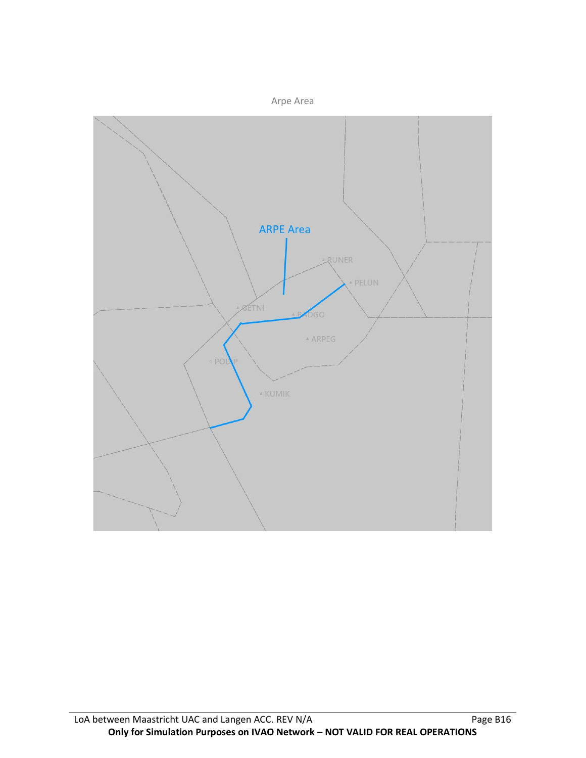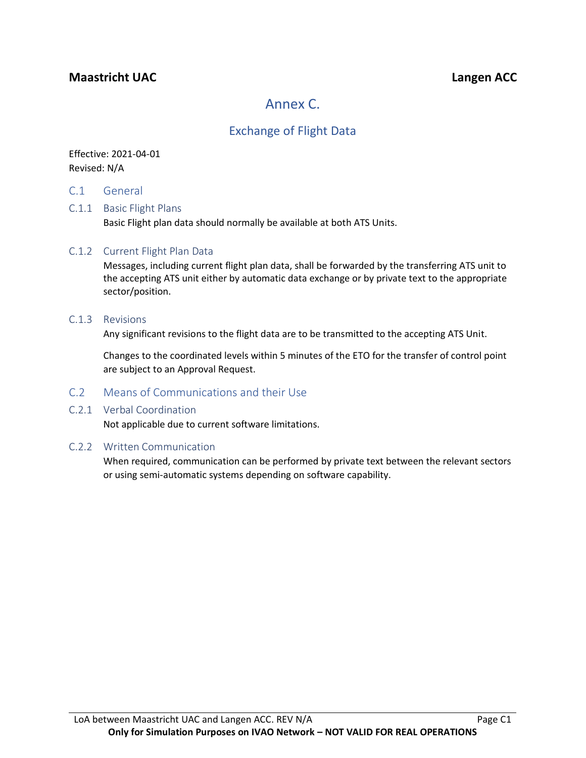# **Maastricht UAC Langen ACC**

# Annex C.

# Exchange of Flight Data

### Effective: 2021-04-01 Revised: N/A

C.1 General

#### C.1.1 Basic Flight Plans

Basic Flight plan data should normally be available at both ATS Units.

#### C.1.2 Current Flight Plan Data

Messages, including current flight plan data, shall be forwarded by the transferring ATS unit to the accepting ATS unit either by automatic data exchange or by private text to the appropriate sector/position.

#### C.1.3 Revisions

Any significant revisions to the flight data are to be transmitted to the accepting ATS Unit.

Changes to the coordinated levels within 5 minutes of the ETO for the transfer of control point are subject to an Approval Request.

#### C.2 Means of Communications and their Use

#### C.2.1 Verbal Coordination

Not applicable due to current software limitations.

#### C.2.2 Written Communication

When required, communication can be performed by private text between the relevant sectors or using semi-automatic systems depending on software capability.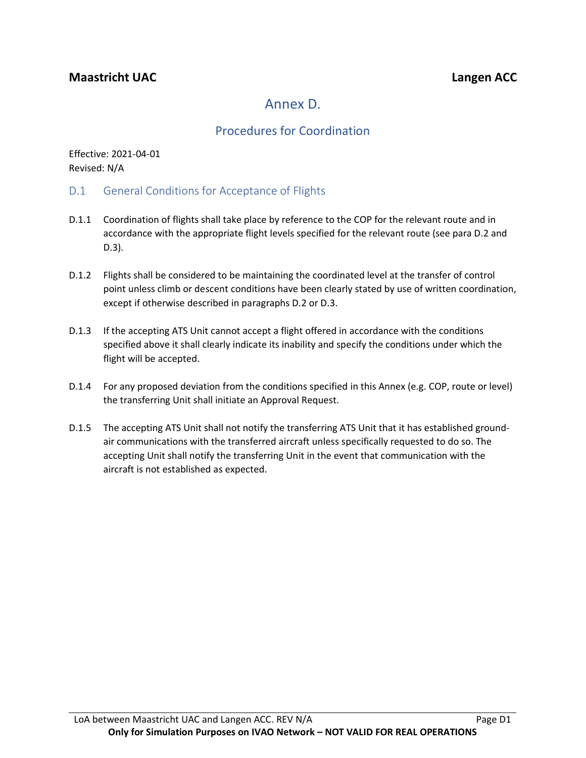# Annex D.

# Procedures for Coordination

Effective: 2021-04-01 Revised: N/A

- D.1 General Conditions for Acceptance of Flights
- D.1.1 Coordination of flights shall take place by reference to the COP for the relevant route and in accordance with the appropriate flight levels specified for the relevant route (see para D.2 and D.3).
- D.1.2 Flights shall be considered to be maintaining the coordinated level at the transfer of control point unless climb or descent conditions have been clearly stated by use of written coordination, except if otherwise described in paragraphs D.2 or D.3.
- D.1.3 If the accepting ATS Unit cannot accept a flight offered in accordance with the conditions specified above it shall clearly indicate its inability and specify the conditions under which the flight will be accepted.
- D.1.4 For any proposed deviation from the conditions specified in this Annex (e.g. COP, route or level) the transferring Unit shall initiate an Approval Request.
- D.1.5 The accepting ATS Unit shall not notify the transferring ATS Unit that it has established groundair communications with the transferred aircraft unless specifically requested to do so. The accepting Unit shall notify the transferring Unit in the event that communication with the aircraft is not established as expected.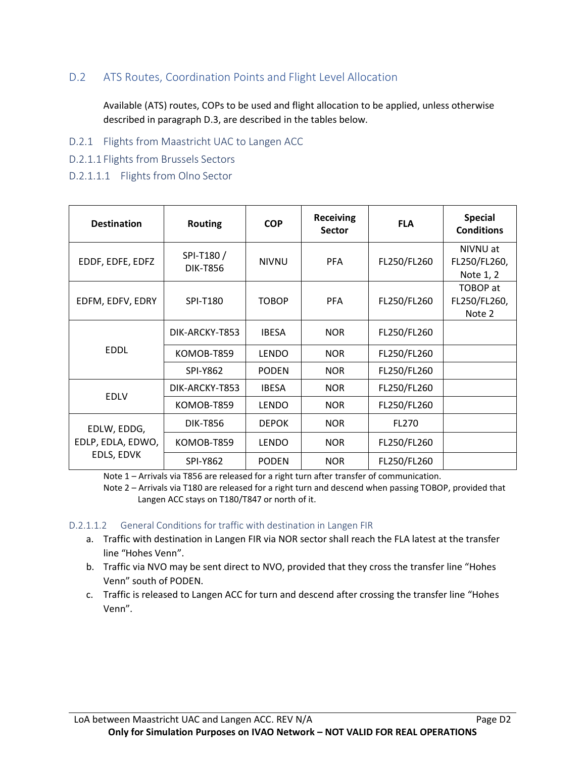### D.2 ATS Routes, Coordination Points and Flight Level Allocation

Available (ATS) routes, COPs to be used and flight allocation to be applied, unless otherwise described in paragraph D.3, are described in the tables below.

- D.2.1 Flights from Maastricht UAC to Langen ACC
- D.2.1.1 Flights from Brussels Sectors
- D.2.1.1.1 Flights from Olno Sector

| <b>Destination</b>                             | <b>Routing</b>               | <b>COP</b>   | <b>Receiving</b><br><b>Sector</b> | <b>FLA</b>  | <b>Special</b><br><b>Conditions</b>   |
|------------------------------------------------|------------------------------|--------------|-----------------------------------|-------------|---------------------------------------|
| EDDF, EDFE, EDFZ                               | SPI-T180/<br><b>DIK-T856</b> | <b>NIVNU</b> | <b>PFA</b>                        | FL250/FL260 | NIVNU at<br>FL250/FL260,<br>Note 1, 2 |
| EDFM, EDFV, EDRY                               | SPI-T180                     | <b>TOBOP</b> | <b>PFA</b>                        | FL250/FL260 | TOBOP at<br>FL250/FL260,<br>Note 2    |
| <b>EDDL</b>                                    | DIK-ARCKY-T853               | <b>IBESA</b> | <b>NOR</b>                        | FL250/FL260 |                                       |
|                                                | KOMOB-T859                   | <b>LENDO</b> | <b>NOR</b>                        | FL250/FL260 |                                       |
|                                                | <b>SPI-Y862</b>              | <b>PODEN</b> | <b>NOR</b>                        | FL250/FL260 |                                       |
|                                                | DIK-ARCKY-T853               | <b>IBESA</b> | <b>NOR</b>                        | FL250/FL260 |                                       |
| <b>EDLV</b>                                    | KOMOB-T859                   | <b>LENDO</b> | <b>NOR</b>                        | FL250/FL260 |                                       |
| EDLW, EDDG,<br>EDLP, EDLA, EDWO,<br>EDLS, EDVK | <b>DIK-T856</b>              | <b>DEPOK</b> | <b>NOR</b>                        | FL270       |                                       |
|                                                | KOMOB-T859                   | <b>LENDO</b> | <b>NOR</b>                        | FL250/FL260 |                                       |
|                                                | <b>SPI-Y862</b>              | <b>PODEN</b> | <b>NOR</b>                        | FL250/FL260 |                                       |

Note 1 – Arrivals via T856 are released for a right turn after transfer of communication.

Note 2 – Arrivals via T180 are released for a right turn and descend when passing TOBOP, provided that Langen ACC stays on T180/T847 or north of it.

#### D.2.1.1.2 General Conditions for traffic with destination in Langen FIR

- a. Traffic with destination in Langen FIR via NOR sector shall reach the FLA latest at the transfer line "Hohes Venn".
- b. Traffic via NVO may be sent direct to NVO, provided that they cross the transfer line "Hohes Venn" south of PODEN.
- c. Traffic is released to Langen ACC for turn and descend after crossing the transfer line "Hohes Venn".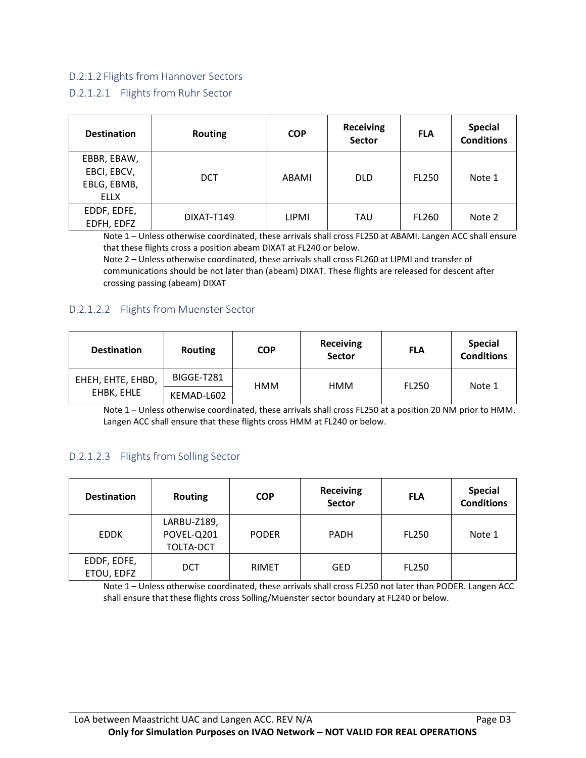### D.2.1.2 Flights from Hannover Sectors

#### D.2.1.2.1 Flights from Ruhr Sector

| <b>Destination</b> | <b>Routing</b> | <b>COP</b> | <b>Receiving</b><br><b>Sector</b> | <b>FLA</b>   | <b>Special</b><br><b>Conditions</b> |
|--------------------|----------------|------------|-----------------------------------|--------------|-------------------------------------|
| EBBR, EBAW,        |                |            |                                   |              |                                     |
| EBCI, EBCV,        | <b>DCT</b>     | ABAMI      | <b>DLD</b>                        | <b>FL250</b> | Note 1                              |
| EBLG, EBMB,        |                |            |                                   |              |                                     |
| ELLX               |                |            |                                   |              |                                     |
| EDDF, EDFE,        | DIXAT-T149     | LIPMI      | TAU                               | <b>FL260</b> | Note 2                              |
| EDFH, EDFZ         |                |            |                                   |              |                                     |

Note 1 – Unless otherwise coordinated, these arrivals shall cross FL250 at ABAMI. Langen ACC shall ensure that these flights cross a position abeam DIXAT at FL240 or below.

Note 2 – Unless otherwise coordinated, these arrivals shall cross FL260 at LIPMI and transfer of communications should be not later than (abeam) DIXAT. These flights are released for descent after crossing passing (abeam) DIXAT

#### D.2.1.2.2 Flights from Muenster Sector

| <b>Destination</b> | <b>Routing</b> | <b>COP</b> | <b>Receiving</b><br><b>Sector</b> | <b>FLA</b> | <b>Special</b><br><b>Conditions</b> |
|--------------------|----------------|------------|-----------------------------------|------------|-------------------------------------|
| EHEH, EHTE, EHBD,  | BIGGE-T281     | <b>HMM</b> | <b>HMM</b>                        | FL250      | Note 1                              |
| EHBK, EHLE         | KEMAD-L602     |            |                                   |            |                                     |

Note 1 – Unless otherwise coordinated, these arrivals shall cross FL250 at a position 20 NM prior to HMM. Langen ACC shall ensure that these flights cross HMM at FL240 or below.

### D.2.1.2.3 Flights from Solling Sector

| <b>Destination</b>        | <b>Routing</b>                         | <b>COP</b>   | <b>Receiving</b><br><b>Sector</b> | <b>FLA</b>   | <b>Special</b><br><b>Conditions</b> |
|---------------------------|----------------------------------------|--------------|-----------------------------------|--------------|-------------------------------------|
| <b>EDDK</b>               | LARBU-Z189,<br>POVEL-Q201<br>TOLTA-DCT | <b>PODER</b> | PADH                              | <b>FL250</b> | Note 1                              |
| EDDF, EDFE,<br>ETOU, EDFZ | DCT                                    | <b>RIMET</b> | GED                               | <b>FL250</b> |                                     |

Note 1 – Unless otherwise coordinated, these arrivals shall cross FL250 not later than PODER. Langen ACC shall ensure that these flights cross Solling/Muenster sector boundary at FL240 or below.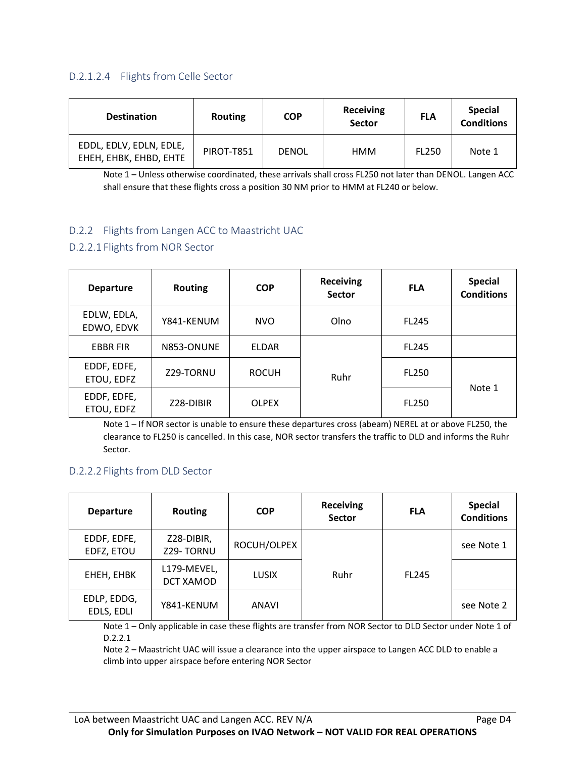### D.2.1.2.4 Flights from Celle Sector

| <b>Destination</b>                                | <b>Routing</b> | <b>COP</b>   | <b>Receiving</b><br>Sector | <b>FLA</b>   | <b>Special</b><br><b>Conditions</b> |
|---------------------------------------------------|----------------|--------------|----------------------------|--------------|-------------------------------------|
| EDDL, EDLV, EDLN, EDLE,<br>EHEH, EHBK, EHBD, EHTE | PIROT-T851     | <b>DENOL</b> | HMM                        | <b>FL250</b> | Note 1                              |

Note 1 – Unless otherwise coordinated, these arrivals shall cross FL250 not later than DENOL. Langen ACC shall ensure that these flights cross a position 30 NM prior to HMM at FL240 or below.

### D.2.2 Flights from Langen ACC to Maastricht UAC

### D.2.2.1 Flights from NOR Sector

| <b>Departure</b>          | <b>Routing</b> | <b>COP</b>   | <b>Receiving</b><br><b>Sector</b> | <b>FLA</b>   | <b>Special</b><br><b>Conditions</b> |
|---------------------------|----------------|--------------|-----------------------------------|--------------|-------------------------------------|
| EDLW, EDLA,<br>EDWO, EDVK | Y841-KENUM     | <b>NVO</b>   | Olno                              | FL245        |                                     |
| <b>EBBR FIR</b>           | N853-ONUNE     | <b>ELDAR</b> |                                   | <b>FL245</b> |                                     |
| EDDF, EDFE,<br>ETOU, EDFZ | Z29-TORNU      | <b>ROCUH</b> | Ruhr                              | <b>FL250</b> |                                     |
| EDDF, EDFE,<br>ETOU, EDFZ | Z28-DIBIR      | <b>OLPEX</b> |                                   | <b>FL250</b> | Note 1                              |

Note 1 – If NOR sector is unable to ensure these departures cross (abeam) NEREL at or above FL250, the clearance to FL250 is cancelled. In this case, NOR sector transfers the traffic to DLD and informs the Ruhr Sector.

#### D.2.2.2 Flights from DLD Sector

| <b>Departure</b>          | <b>Routing</b>           | <b>COP</b>   | <b>Receiving</b><br><b>Sector</b> | <b>FLA</b>   | <b>Special</b><br><b>Conditions</b> |
|---------------------------|--------------------------|--------------|-----------------------------------|--------------|-------------------------------------|
| EDDF, EDFE,<br>EDFZ, ETOU | Z28-DIBIR,<br>Z29-TORNU  | ROCUH/OLPEX  |                                   |              | see Note 1                          |
| EHEH, EHBK                | L179-MEVEL,<br>DCT XAMOD | <b>LUSIX</b> | Ruhr                              | <b>FL245</b> |                                     |
| EDLP, EDDG,<br>EDLS, EDLI | Y841-KENUM               | ANAVI        |                                   |              | see Note 2                          |

Note 1 – Only applicable in case these flights are transfer from NOR Sector to DLD Sector under Note 1 of D.2.2.1

Note 2 – Maastricht UAC will issue a clearance into the upper airspace to Langen ACC DLD to enable a climb into upper airspace before entering NOR Sector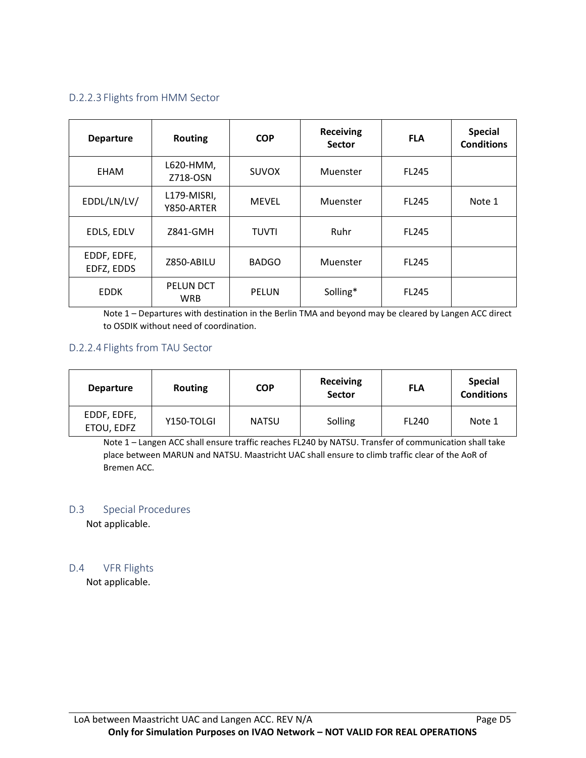### D.2.2.3 Flights from HMM Sector

| <b>Departure</b>          | <b>Routing</b>            | <b>COP</b>   | <b>Receiving</b><br><b>Sector</b> | <b>FLA</b>   | <b>Special</b><br><b>Conditions</b> |
|---------------------------|---------------------------|--------------|-----------------------------------|--------------|-------------------------------------|
| EHAM                      | L620-HMM,<br>Z718-OSN     | <b>SUVOX</b> | Muenster                          | <b>FL245</b> |                                     |
| EDDL/LN/LV/               | L179-MISRI,<br>Y850-ARTER | <b>MEVEL</b> | Muenster                          | <b>FL245</b> | Note 1                              |
| EDLS, EDLV                | Z841-GMH                  | TUVTI        | Ruhr                              | <b>FL245</b> |                                     |
| EDDF, EDFE,<br>EDFZ, EDDS | Z850-ABILU                | <b>BADGO</b> | Muenster                          | <b>FL245</b> |                                     |
| <b>EDDK</b>               | PELUN DCT<br><b>WRB</b>   | <b>PELUN</b> | Solling*                          | <b>FL245</b> |                                     |

Note 1 – Departures with destination in the Berlin TMA and beyond may be cleared by Langen ACC direct to OSDIK without need of coordination.

#### D.2.2.4 Flights from TAU Sector

| <b>Departure</b>          | <b>Routing</b> | <b>COP</b>   | Receiving<br><b>Sector</b> | <b>FLA</b>   | <b>Special</b><br><b>Conditions</b> |
|---------------------------|----------------|--------------|----------------------------|--------------|-------------------------------------|
| EDDF, EDFE,<br>ETOU, EDFZ | Y150-TOLGI     | <b>NATSU</b> | Solling                    | <b>FL240</b> | Note 1                              |

Note 1 – Langen ACC shall ensure traffic reaches FL240 by NATSU. Transfer of communication shall take place between MARUN and NATSU. Maastricht UAC shall ensure to climb traffic clear of the AoR of Bremen ACC.

#### D.3 Special Procedures

Not applicable.

#### D.4 VFR Flights

Not applicable.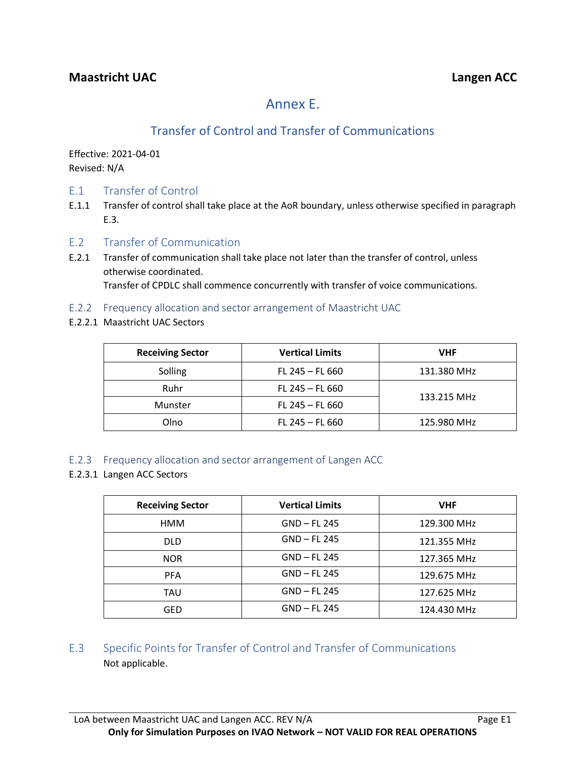# Annex E.

# Transfer of Control and Transfer of Communications

Effective: 2021-04-01 Revised: N/A

- E.1 Transfer of Control
- E.1.1 Transfer of control shall take place at the AoR boundary, unless otherwise specified in paragraph E.3.
- E.2 Transfer of Communication
- E.2.1 Transfer of communication shall take place not later than the transfer of control, unless otherwise coordinated. Transfer of CPDLC shall commence concurrently with transfer of voice communications.
- E.2.2 Frequency allocation and sector arrangement of Maastricht UAC
- E.2.2.1 Maastricht UAC Sectors

| <b>Receiving Sector</b> | <b>Vertical Limits</b> | <b>VHF</b>  |  |
|-------------------------|------------------------|-------------|--|
| Solling                 | FL 245 $-$ FL 660      | 131.380 MHz |  |
| Ruhr                    | $FL 245 - FL 660$      | 133.215 MHz |  |
| Munster                 | $FL 245 - FL 660$      |             |  |
| Olno                    | FL 245 $-$ FL 660      | 125.980 MHz |  |

### E.2.3 Frequency allocation and sector arrangement of Langen ACC

E.2.3.1 Langen ACC Sectors

| <b>Receiving Sector</b> | <b>Vertical Limits</b> | <b>VHF</b>  |
|-------------------------|------------------------|-------------|
| HMM                     | GND - FL 245           | 129.300 MHz |
| DLD.                    | GND - FL 245           | 121.355 MHz |
| <b>NOR</b>              | GND - FL 245           | 127.365 MHz |
| <b>PFA</b>              | GND – FL 245           | 129.675 MHz |
| TAU                     | GND - FL 245           | 127.625 MHz |
| GED                     | GND - FL 245           | 124.430 MHz |

### E.3 Specific Points for Transfer of Control and Transfer of Communications Not applicable.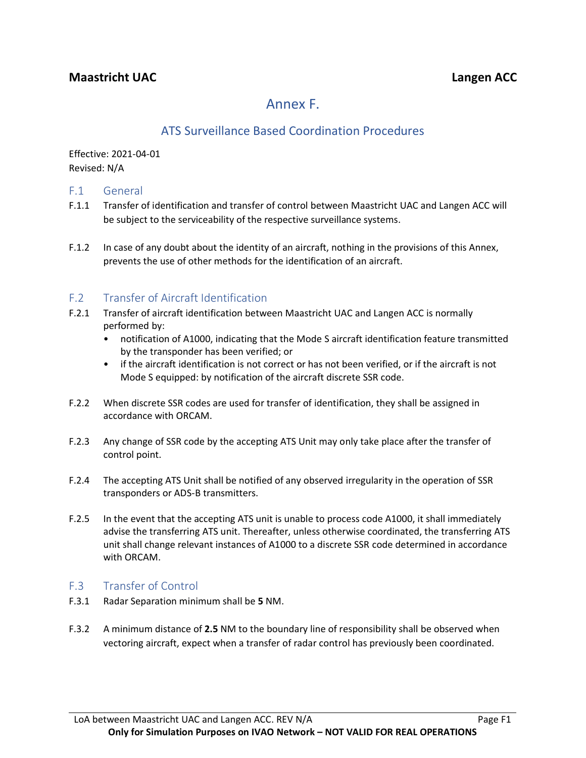# Annex F.

# ATS Surveillance Based Coordination Procedures

Effective: 2021-04-01 Revised: N/A

### F.1 General

- F.1.1 Transfer of identification and transfer of control between Maastricht UAC and Langen ACC will be subject to the serviceability of the respective surveillance systems.
- F.1.2 In case of any doubt about the identity of an aircraft, nothing in the provisions of this Annex, prevents the use of other methods for the identification of an aircraft.

### F.2 Transfer of Aircraft Identification

- F.2.1 Transfer of aircraft identification between Maastricht UAC and Langen ACC is normally performed by:
	- notification of A1000, indicating that the Mode S aircraft identification feature transmitted by the transponder has been verified; or
	- if the aircraft identification is not correct or has not been verified, or if the aircraft is not Mode S equipped: by notification of the aircraft discrete SSR code.
- F.2.2 When discrete SSR codes are used for transfer of identification, they shall be assigned in accordance with ORCAM.
- F.2.3 Any change of SSR code by the accepting ATS Unit may only take place after the transfer of control point.
- F.2.4 The accepting ATS Unit shall be notified of any observed irregularity in the operation of SSR transponders or ADS-B transmitters.
- F.2.5 In the event that the accepting ATS unit is unable to process code A1000, it shall immediately advise the transferring ATS unit. Thereafter, unless otherwise coordinated, the transferring ATS unit shall change relevant instances of A1000 to a discrete SSR code determined in accordance with ORCAM.

### F.3 Transfer of Control

- F.3.1 Radar Separation minimum shall be **5** NM.
- F.3.2 A minimum distance of **2.5** NM to the boundary line of responsibility shall be observed when vectoring aircraft, expect when a transfer of radar control has previously been coordinated.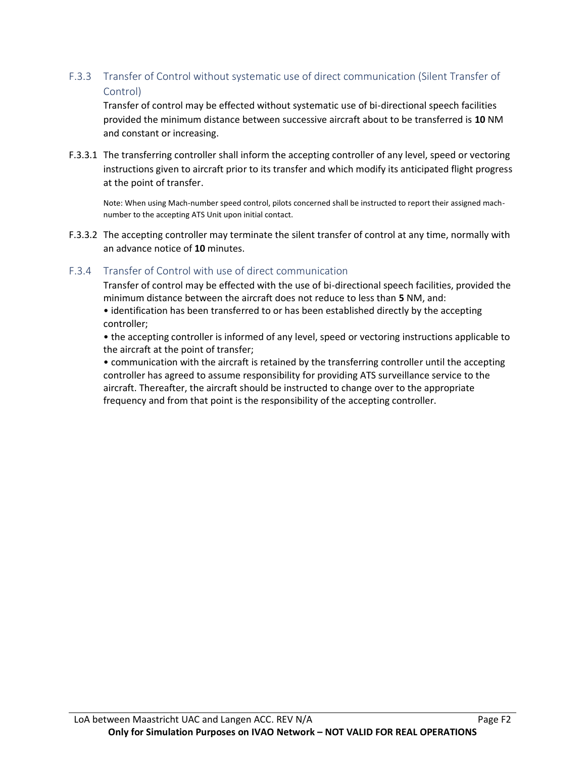### F.3.3 Transfer of Control without systematic use of direct communication (Silent Transfer of Control)

Transfer of control may be effected without systematic use of bi-directional speech facilities provided the minimum distance between successive aircraft about to be transferred is **10** NM and constant or increasing.

F.3.3.1 The transferring controller shall inform the accepting controller of any level, speed or vectoring instructions given to aircraft prior to its transfer and which modify its anticipated flight progress at the point of transfer.

Note: When using Mach-number speed control, pilots concerned shall be instructed to report their assigned machnumber to the accepting ATS Unit upon initial contact.

F.3.3.2 The accepting controller may terminate the silent transfer of control at any time, normally with an advance notice of **10** minutes.

### F.3.4 Transfer of Control with use of direct communication

Transfer of control may be effected with the use of bi-directional speech facilities, provided the minimum distance between the aircraft does not reduce to less than **5** NM, and:

• identification has been transferred to or has been established directly by the accepting controller;

• the accepting controller is informed of any level, speed or vectoring instructions applicable to the aircraft at the point of transfer;

• communication with the aircraft is retained by the transferring controller until the accepting controller has agreed to assume responsibility for providing ATS surveillance service to the aircraft. Thereafter, the aircraft should be instructed to change over to the appropriate frequency and from that point is the responsibility of the accepting controller.